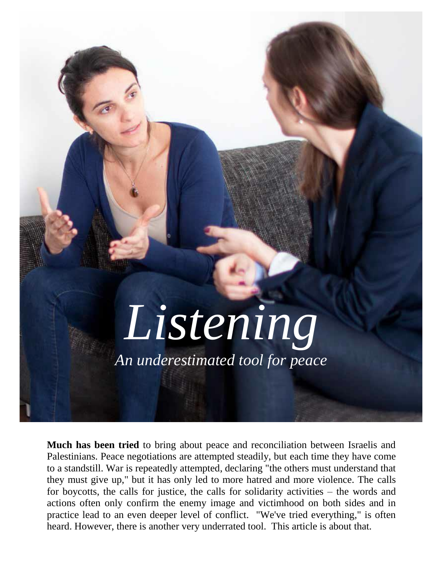

**Much has been tried** to bring about peace and reconciliation between Israelis and Palestinians. Peace negotiations are attempted steadily, but each time they have come to a standstill. War is repeatedly attempted, declaring "the others must understand that they must give up," but it has only led to more hatred and more violence. The calls for boycotts, the calls for justice, the calls for solidarity activities – the words and actions often only confirm the enemy image and victimhood on both sides and in practice lead to an even deeper level of conflict. "We've tried everything," is often heard. However, there is another very underrated tool. This article is about that.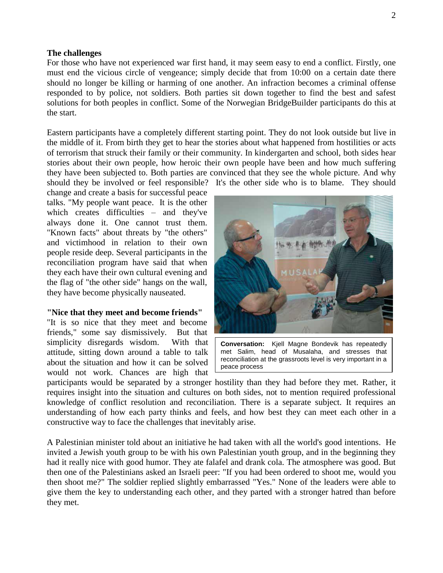## **The challenges**

For those who have not experienced war first hand, it may seem easy to end a conflict. Firstly, one must end the vicious circle of vengeance; simply decide that from 10:00 on a certain date there should no longer be killing or harming of one another. An infraction becomes a criminal offense responded to by police, not soldiers. Both parties sit down together to find the best and safest solutions for both peoples in conflict. Some of the Norwegian BridgeBuilder participants do this at the start.

Eastern participants have a completely different starting point. They do not look outside but live in the middle of it. From birth they get to hear the stories about what happened from hostilities or acts of terrorism that struck their family or their community. In kindergarten and school, both sides hear stories about their own people, how heroic their own people have been and how much suffering they have been subjected to. Both parties are convinced that they see the whole picture. And why should they be involved or feel responsible? It's the other side who is to blame. They should

change and create a basis for successful peace talks. "My people want peace. It is the other which creates difficulties – and they've always done it. One cannot trust them. "Known facts" about threats by "the others" and victimhood in relation to their own people reside deep. Several participants in the reconciliation program have said that when they each have their own cultural evening and the flag of "the other side" hangs on the wall, they have become physically nauseated.

#### **"Nice that they meet and become friends"**

"It is so nice that they meet and become friends," some say dismissively. But that simplicity disregards wisdom. With that attitude, sitting down around a table to talk about the situation and how it can be solved would not work. Chances are high that



**Conversation:** Kjell Magne Bondevik has repeatedly met Salim, head of Musalaha, and stresses that reconciliation at the grassroots level is very important in a peace process

participants would be separated by a stronger hostility than they had before they met. Rather, it requires insight into the situation and cultures on both sides, not to mention required professional knowledge of conflict resolution and reconciliation. There is a separate subject. It requires an understanding of how each party thinks and feels, and how best they can meet each other in a constructive way to face the challenges that inevitably arise.

A Palestinian minister told about an initiative he had taken with all the world's good intentions. He invited a Jewish youth group to be with his own Palestinian youth group, and in the beginning they had it really nice with good humor. They ate falafel and drank cola. The atmosphere was good. But then one of the Palestinians asked an Israeli peer: "If you had been ordered to shoot me, would you then shoot me?" The soldier replied slightly embarrassed "Yes." None of the leaders were able to give them the key to understanding each other, and they parted with a stronger hatred than before they met.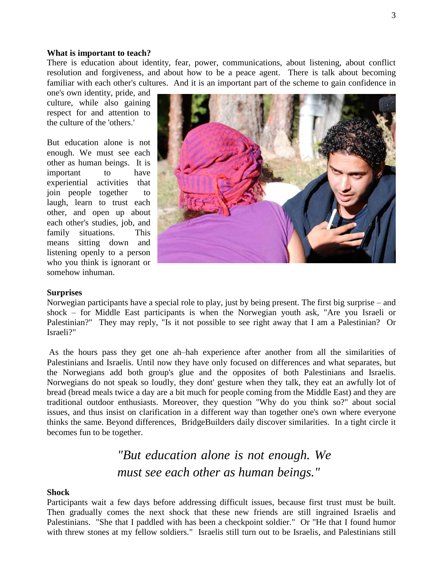#### **What is important to teach?**

There is education about identity, fear, power, communications, about listening, about conflict resolution and forgiveness, and about how to be a peace agent. There is talk about becoming familiar with each other's cultures. And it is an important part of the scheme to gain confidence in

one's own identity, pride, and culture, while also gaining respect for and attention to the culture of the 'others.'

But education alone is not enough. We must see each other as human beings. It is important to have experiential activities that join people together to laugh, learn to trust each other, and open up about each other's studies, job, and family situations. This means sitting down and listening openly to a person who you think is ignorant or somehow inhuman.



### **Surprises**

Norwegian participants have a special role to play, just by being present. The first big surprise – and shock – for Middle East participants is when the Norwegian youth ask, "Are you Israeli or Palestinian?" They may reply, "Is it not possible to see right away that I am a Palestinian? Or Israeli?"

As the hours pass they get one ah–hah experience after another from all the similarities of Palestinians and Israelis. Until now they have only focused on differences and what separates, but the Norwegians add both group's glue and the opposites of both Palestinians and Israelis. Norwegians do not speak so loudly, they dont' gesture when they talk, they eat an awfully lot of bread (bread meals twice a day are a bit much for people coming from the Middle East) and they are traditional outdoor enthusiasts. Moreover, they question "Why do you think so?" about social issues, and thus insist on clarification in a different way than together one's own where everyone thinks the same. Beyond differences, BridgeBuilders daily discover similarities. In a tight circle it becomes fun to be together.

# *"But education alone is not enough. We must see each other as human beings."*

### **Shock**

Participants wait a few days before addressing difficult issues, because first trust must be built. Then gradually comes the next shock that these new friends are still ingrained Israelis and Palestinians. "She that I paddled with has been a checkpoint soldier." Or "He that I found humor with threw stones at my fellow soldiers." Israelis still turn out to be Israelis, and Palestinians still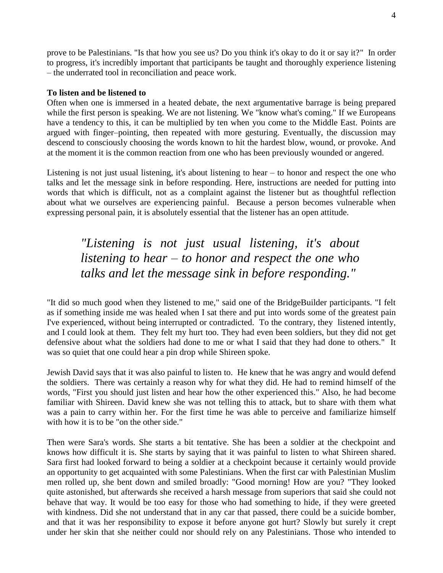prove to be Palestinians. "Is that how you see us? Do you think it's okay to do it or say it?" In order to progress, it's incredibly important that participants be taught and thoroughly experience listening – the underrated tool in reconciliation and peace work.

### **To listen and be listened to**

Often when one is immersed in a heated debate, the next argumentative barrage is being prepared while the first person is speaking. We are not listening. We "know what's coming." If we Europeans have a tendency to this, it can be multiplied by ten when you come to the Middle East. Points are argued with finger–pointing, then repeated with more gesturing. Eventually, the discussion may descend to consciously choosing the words known to hit the hardest blow, wound, or provoke. And at the moment it is the common reaction from one who has been previously wounded or angered.

Listening is not just usual listening, it's about listening to hear – to honor and respect the one who talks and let the message sink in before responding. Here, instructions are needed for putting into words that which is difficult, not as a complaint against the listener but as thoughtful reflection about what we ourselves are experiencing painful. Because a person becomes vulnerable when expressing personal pain, it is absolutely essential that the listener has an open attitude.

# *"Listening is not just usual listening, it's about listening to hear – to honor and respect the one who talks and let the message sink in before responding."*

"It did so much good when they listened to me," said one of the BridgeBuilder participants. "I felt as if something inside me was healed when I sat there and put into words some of the greatest pain I've experienced, without being interrupted or contradicted. To the contrary, they listened intently, and I could look at them. They felt my hurt too. They had even been soldiers, but they did not get defensive about what the soldiers had done to me or what I said that they had done to others." It was so quiet that one could hear a pin drop while Shireen spoke.

Jewish David says that it was also painful to listen to. He knew that he was angry and would defend the soldiers. There was certainly a reason why for what they did. He had to remind himself of the words, "First you should just listen and hear how the other experienced this." Also, he had become familiar with Shireen. David knew she was not telling this to attack, but to share with them what was a pain to carry within her. For the first time he was able to perceive and familiarize himself with how it is to be "on the other side."

Then were Sara's words. She starts a bit tentative. She has been a soldier at the checkpoint and knows how difficult it is. She starts by saying that it was painful to listen to what Shireen shared. Sara first had looked forward to being a soldier at a checkpoint because it certainly would provide an opportunity to get acquainted with some Palestinians. When the first car with Palestinian Muslim men rolled up, she bent down and smiled broadly: "Good morning! How are you? "They looked quite astonished, but afterwards she received a harsh message from superiors that said she could not behave that way. It would be too easy for those who had something to hide, if they were greeted with kindness. Did she not understand that in any car that passed, there could be a suicide bomber, and that it was her responsibility to expose it before anyone got hurt? Slowly but surely it crept under her skin that she neither could nor should rely on any Palestinians. Those who intended to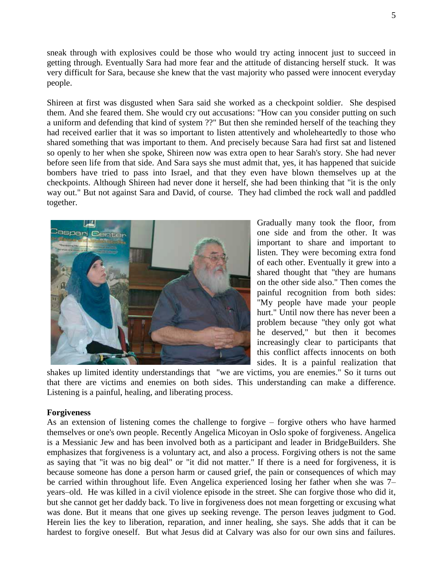sneak through with explosives could be those who would try acting innocent just to succeed in getting through. Eventually Sara had more fear and the attitude of distancing herself stuck. It was very difficult for Sara, because she knew that the vast majority who passed were innocent everyday people.

Shireen at first was disgusted when Sara said she worked as a checkpoint soldier. She despised them. And she feared them. She would cry out accusations: "How can you consider putting on such a uniform and defending that kind of system ??" But then she reminded herself of the teaching they had received earlier that it was so important to listen attentively and wholeheartedly to those who shared something that was important to them. And precisely because Sara had first sat and listened so openly to her when she spoke, Shireen now was extra open to hear Sarah's story. She had never before seen life from that side. And Sara says she must admit that, yes, it has happened that suicide bombers have tried to pass into Israel, and that they even have blown themselves up at the checkpoints. Although Shireen had never done it herself, she had been thinking that "it is the only way out." But not against Sara and David, of course. They had climbed the rock wall and paddled together.



Gradually many took the floor, from one side and from the other. It was important to share and important to listen. They were becoming extra fond of each other. Eventually it grew into a shared thought that "they are humans on the other side also." Then comes the painful recognition from both sides: "My people have made your people hurt." Until now there has never been a problem because "they only got what he deserved," but then it becomes increasingly clear to participants that this conflict affects innocents on both sides. It is a painful realization that

shakes up limited identity understandings that "we are victims, you are enemies." So it turns out that there are victims and enemies on both sides. This understanding can make a difference. Listening is a painful, healing, and liberating process.

## **Forgiveness**

As an extension of listening comes the challenge to forgive – forgive others who have harmed themselves or one's own people. Recently Angelica Micoyan in Oslo spoke of forgiveness. Angelica is a Messianic Jew and has been involved both as a participant and leader in BridgeBuilders. She emphasizes that forgiveness is a voluntary act, and also a process. Forgiving others is not the same as saying that "it was no big deal" or "it did not matter." If there is a need for forgiveness, it is because someone has done a person harm or caused grief, the pain or consequences of which may be carried within throughout life. Even Angelica experienced losing her father when she was 7– years–old. He was killed in a civil violence episode in the street. She can forgive those who did it, but she cannot get her daddy back. To live in forgiveness does not mean forgetting or excusing what was done. But it means that one gives up seeking revenge. The person leaves judgment to God. Herein lies the key to liberation, reparation, and inner healing, she says. She adds that it can be hardest to forgive oneself. But what Jesus did at Calvary was also for our own sins and failures.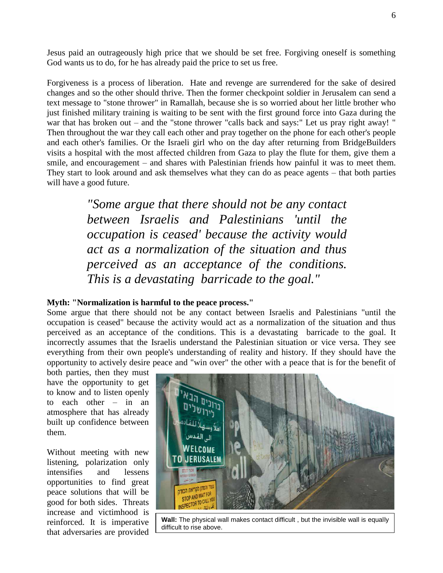Jesus paid an outrageously high price that we should be set free. Forgiving oneself is something God wants us to do, for he has already paid the price to set us free.

Forgiveness is a process of liberation. Hate and revenge are surrendered for the sake of desired changes and so the other should thrive. Then the former checkpoint soldier in Jerusalem can send a text message to "stone thrower" in Ramallah, because she is so worried about her little brother who just finished military training is waiting to be sent with the first ground force into Gaza during the war that has broken out – and the "stone thrower "calls back and says:" Let us pray right away! " Then throughout the war they call each other and pray together on the phone for each other's people and each other's families. Or the Israeli girl who on the day after returning from BridgeBuilders visits a hospital with the most affected children from Gaza to play the flute for them, give them a smile, and encouragement – and shares with Palestinian friends how painful it was to meet them. They start to look around and ask themselves what they can do as peace agents – that both parties will have a good future.

> *"Some argue that there should not be any contact between Israelis and Palestinians 'until the occupation is ceased' because the activity would act as a normalization of the situation and thus perceived as an acceptance of the conditions. This is a devastating barricade to the goal."*

# **Myth: "Normalization is harmful to the peace process."**

Some argue that there should not be any contact between Israelis and Palestinians "until the occupation is ceased" because the activity would act as a normalization of the situation and thus perceived as an acceptance of the conditions. This is a devastating barricade to the goal. It incorrectly assumes that the Israelis understand the Palestinian situation or vice versa. They see everything from their own people's understanding of reality and history. If they should have the opportunity to actively desire peace and "win over" the other with a peace that is for the benefit of

both parties, then they must have the opportunity to get to know and to listen openly to each other – in an atmosphere that has already built up confidence between them.

Without meeting with new listening, polarization only intensifies and lessens opportunities to find great peace solutions that will be good for both sides. Threats increase and victimhood is reinforced. It is imperative that adversaries are provided



**Wall:** The physical wall makes contact difficult , but the invisible wall is equally difficult to rise above.